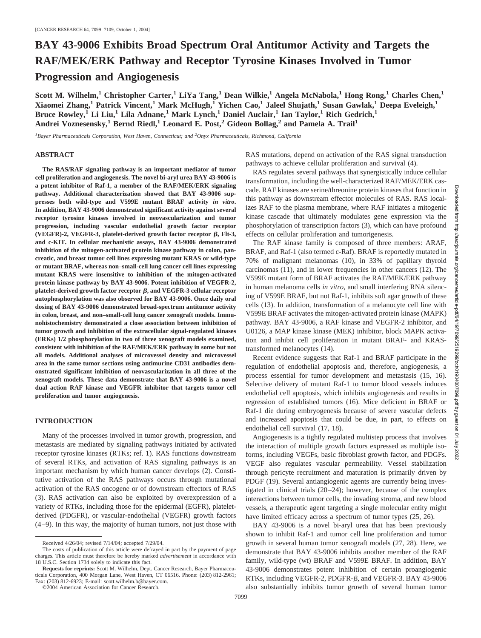# **BAY 43-9006 Exhibits Broad Spectrum Oral Antitumor Activity and Targets the RAF/MEK/ERK Pathway and Receptor Tyrosine Kinases Involved in Tumor Progression and Angiogenesis**

**Scott M. Wilhelm,1 Christopher Carter,1 LiYa Tang,1 Dean Wilkie,1 Angela McNabola,1 Hong Rong,1 Charles Chen,1 Xiaomei Zhang,1 Patrick Vincent,1 Mark McHugh,1 Yichen Cao,1 Jaleel Shujath,1 Susan Gawlak,1 Deepa Eveleigh,1 Bruce Rowley,1 Li Liu,1 Lila Adnane,1 Mark Lynch,1 Daniel Auclair,1 Ian Taylor,1 Rich Gedrich,1 Andrei Voznesensky,1 Bernd Riedl,1 Leonard E. Post,2 Gideon Bollag,2 and Pamela A. Trail1**

<sup>1</sup> Bayer Pharmaceuticals Corporation, West Haven, Connecticut; and <sup>2</sup>Onyx Pharmaceuticals, Richmond, California

## **ABSTRACT**

**The RAS/RAF signaling pathway is an important mediator of tumor cell proliferation and angiogenesis. The novel bi-aryl urea BAY 43-9006 is a potent inhibitor of Raf-1, a member of the RAF/MEK/ERK signaling pathway. Additional characterization showed that BAY 43-9006 suppresses both wild-type and V599E mutant BRAF activity** *in vitro***. In addition, BAY 43-9006 demonstrated significant activity against several receptor tyrosine kinases involved in neovascularization and tumor progression, including vascular endothelial growth factor receptor**  $(VEGFR)-2$ ,  $VEGFR-3$ , platelet-derived growth factor receptor  $\beta$ , Flt-3, **and c-KIT. In cellular mechanistic assays, BAY 43-9006 demonstrated inhibition of the mitogen-activated protein kinase pathway in colon, pancreatic, and breast tumor cell lines expressing mutant KRAS or wild-type or mutant BRAF, whereas non–small-cell lung cancer cell lines expressing mutant KRAS were insensitive to inhibition of the mitogen-activated protein kinase pathway by BAY 43-9006. Potent inhibition of VEGFR-2,** platelet-derived growth factor receptor  $\beta$ , and VEGFR-3 cellular receptor **autophosphorylation was also observed for BAY 43-9006. Once daily oral dosing of BAY 43-9006 demonstrated broad-spectrum antitumor activity in colon, breast, and non–small-cell lung cancer xenograft models. Immunohistochemistry demonstrated a close association between inhibition of tumor growth and inhibition of the extracellular signal-regulated kinases (ERKs) 1/2 phosphorylation in two of three xenograft models examined, consistent with inhibition of the RAF/MEK/ERK pathway in some but not all models. Additional analyses of microvessel density and microvessel area in the same tumor sections using antimurine CD31 antibodies demonstrated significant inhibition of neovascularization in all three of the xenograft models. These data demonstrate that BAY 43-9006 is a novel dual action RAF kinase and VEGFR inhibitor that targets tumor cell proliferation and tumor angiogenesis.**

#### **INTRODUCTION**

Many of the processes involved in tumor growth, progression, and metastasis are mediated by signaling pathways initiated by activated receptor tyrosine kinases (RTKs; ref. 1). RAS functions downstream of several RTKs, and activation of RAS signaling pathways is an important mechanism by which human cancer develops (2). Constitutive activation of the RAS pathways occurs through mutational activation of the RAS oncogene or of downstream effectors of RAS (3). RAS activation can also be exploited by overexpression of a variety of RTKs, including those for the epidermal (EGFR), plateletderived (PDGFR), or vascular-endothelial (VEGFR) growth factors (4–9). In this way, the majority of human tumors, not just those with RAS mutations, depend on activation of the RAS signal transduction pathways to achieve cellular proliferation and survival (4).

RAS regulates several pathways that synergistically induce cellular transformation, including the well-characterized RAF/MEK/ERK cascade. RAF kinases are serine/threonine protein kinases that function in this pathway as downstream effector molecules of RAS. RAS localizes RAF to the plasma membrane, where RAF initiates a mitogenic kinase cascade that ultimately modulates gene expression via the phosphorylation of transcription factors (3), which can have profound effects on cellular proliferation and tumorigenesis.

The RAF kinase family is composed of three members: ARAF, BRAF, and Raf-1 (also termed c-Raf). BRAF is reportedly mutated in 70% of malignant melanomas (10), in 33% of papillary thyroid carcinomas (11), and in lower frequencies in other cancers (12). The V599E mutant form of BRAF activates the RAF/MEK/ERK pathway in human melanoma cells *in vitro*, and small interfering RNA silencing of V599E BRAF, but not Raf-1, inhibits soft agar growth of these cells (13). In addition, transformation of a melanocyte cell line with V599E BRAF activates the mitogen-activated protein kinase (MAPK) pathway. BAY 43-9006, a RAF kinase and VEGFR-2 inhibitor, and U0126, a MAP kinase kinase (MEK) inhibitor, block MAPK activation and inhibit cell proliferation in mutant BRAF- and KRAStransformed melanocytes (14).

Recent evidence suggests that Raf-1 and BRAF participate in the regulation of endothelial apoptosis and, therefore, angiogenesis, a process essential for tumor development and metastasis (15, 16). Selective delivery of mutant Raf-1 to tumor blood vessels induces endothelial cell apoptosis, which inhibits angiogenesis and results in regression of established tumors (16). Mice deficient in BRAF or Raf-1 die during embryogenesis because of severe vascular defects and increased apoptosis that could be due, in part, to effects on endothelial cell survival (17, 18).

Angiogenesis is a tightly regulated multistep process that involves the interaction of multiple growth factors expressed as multiple isoforms, including VEGFs, basic fibroblast growth factor, and PDGFs. VEGF also regulates vascular permeability. Vessel stabilization through pericyte recruitment and maturation is primarily driven by PDGF (19). Several antiangiogenic agents are currently being investigated in clinical trials (20–24); however, because of the complex interactions between tumor cells, the invading stroma, and new blood vessels, a therapeutic agent targeting a single molecular entity might have limited efficacy across a spectrum of tumor types (25, 26).

BAY 43-9006 is a novel bi-aryl urea that has been previously shown to inhibit Raf-1 and tumor cell line proliferation and tumor growth in several human tumor xenograft models (27, 28). Here, we demonstrate that BAY 43-9006 inhibits another member of the RAF family, wild-type (wt) BRAF and V599E BRAF. In addition, BAY 43-9006 demonstrates potent inhibition of certain proangiogenic RTKs, including VEGFR-2, PDGFR- $\beta$ , and VEGFR-3. BAY 43-9006 also substantially inhibits tumor growth of several human tumor

Downloaded

Received 4/26/04; revised 7/14/04; accepted 7/29/04.

The costs of publication of this article were defrayed in part by the payment of page charges. This article must therefore be hereby marked *advertisement* in accordance with 18 U.S.C. Section 1734 solely to indicate this fact.

**Requests for reprints:** Scott M. Wilhelm, Dept. Cancer Research, Bayer Pharmaceuticals Corporation, 400 Morgan Lane, West Haven, CT 06516. Phone: (203) 812-2961; Fax: (203) 812-6923; E-mail: scott.wilhelm.b@bayer.com.

<sup>©2004</sup> American Association for Cancer Research.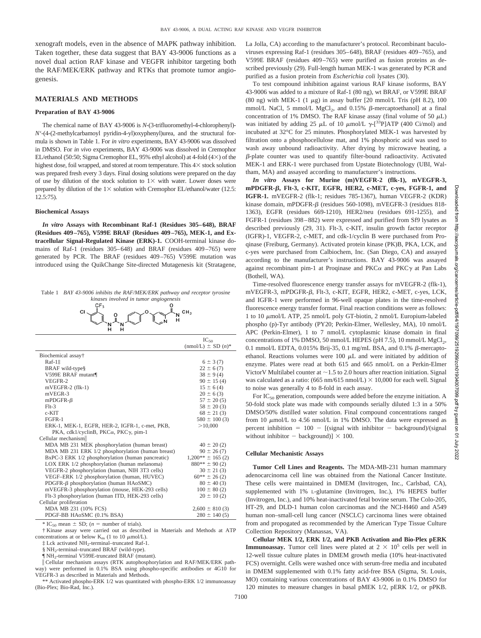xenograft models, even in the absence of MAPK pathway inhibition. Taken together, these data suggest that BAY 43-9006 functions as a novel dual action RAF kinase and VEGFR inhibitor targeting both the RAF/MEK/ERK pathway and RTKs that promote tumor angiogenesis.

## **MATERIALS AND METHODS**

#### **Preparation of BAY 43-9006**

The chemical name of BAY 43-9006 is *N*-(3-trifluoromethyl-4-chlorophenyl)- *N'*-(4-(2-methylcarbamoyl pyridin-4-yl)oxyphenyl)urea, and the structural formula is shown in Table 1. For *in vitro* experiments, BAY 43-9006 was dissolved in DMSO. For *in vivo* experiments, BAY 43-9006 was dissolved in Cremophor EL/ethanol (50:50; Sigma Cremophor EL, 95% ethyl alcohol) at 4-fold ( $4\times$ ) of the highest dose, foil wrapped, and stored at room temperature. This  $4\times$  stock solution was prepared fresh every 3 days. Final dosing solutions were prepared on the day of use by dilution of the stock solution to  $1\times$  with water. Lower doses were prepared by dilution of the  $1 \times$  solution with Cremophor EL/ethanol/water (12.5: 12.5:75).

#### **Biochemical Assays**

*In vitro* **Assays with Recombinant Raf-1 (Residues 305–648), BRAF (Residues 409–765), V599E BRAF (Residues 409–765), MEK-1, and Extracellular Signal-Regulated Kinase (ERK)-1.** COOH-terminal kinase domains of Raf-1 (residues 305–648) and BRAF (residues 409–765) were generated by PCR. The BRAF (residues 409–765) V599E mutation was introduced using the QuikChange Site-directed Mutagenesis kit (Stratagene,

| Table 1 BAY 43-9006 inhibits the RAF/MEK/ERK pathway and receptor tyrosine |
|----------------------------------------------------------------------------|
| kinases involved in tumor angiogenesis                                     |



|                                                                   | $IC_{50}$<br>$(mmol/L) \pm SD(n)^*$ |
|-------------------------------------------------------------------|-------------------------------------|
| Biochemical assay†                                                |                                     |
| Raf-1 <sup>t</sup>                                                | $6 \pm 3(7)$                        |
| BRAF wild-type§                                                   | $22 \pm 6(7)$                       |
| V599E BRAF mutant¶                                                | $38 \pm 9(4)$                       |
| VEGFR-2                                                           | $90 \pm 15(4)$                      |
| $mVEGFR-2$ (flk-1)                                                | $15 \pm 6(4)$                       |
| mVEGR-3                                                           | $20 \pm 6(3)$                       |
| $mPDGFR-\beta$                                                    | $57 \pm 20(5)$                      |
| $F1t-3$                                                           | $58 \pm 20(3)$                      |
| $c$ -KIT                                                          | $68 \pm 21(3)$                      |
| FGFR-1                                                            | $580 \pm 100(3)$                    |
| ERK-1, MEK-1, EGFR, HER-2, IGFR-1, c-met, PKB,                    | >10,000                             |
| PKA, cdk1/cyclinB, PKCα, PKCγ, pim-1                              |                                     |
| Cellular mechanism                                                |                                     |
| MDA MB 231 MEK phosphorylation (human breast)                     | $40 \pm 20(2)$                      |
| MDA MB 231 ERK 1/2 phosphorylation (human breast)                 | $90 \pm 26(7)$                      |
| BxPC-3 ERK 1/2 phosphorylation (human pancreatic)                 | $1.200** \pm 165(2)$                |
| LOX ERK 1/2 phosphorylation (human melanoma)                      | $880** \pm 90(2)$                   |
| VEGFR-2 phosphorylation (human, NIH 3T3 cells)                    | $30 \pm 21(3)$                      |
| VEGF-ERK 1/2 phosphorylation (human, HUVEC)                       | $60***\pm26(2)$                     |
| PDGFR-β phosphorylation (human HAoSMC)                            | $80 \pm 40(3)$                      |
| mVEGFR-3 phosphorylation (mouse, HEK-293 cells)                   | $100 \pm 80$ (2)                    |
| Flt-3 phosphorylation (human ITD, HEK-293 cells)                  | $20 \pm 10(2)$                      |
| Cellular proliferation                                            |                                     |
| MDA MB 231 (10% FCS)                                              | $2,600 \pm 810(3)$                  |
| PDGF-BB HAoSMC (0.1% BSA)                                         | $280 \pm 140(5)$                    |
| * IC <sub>50</sub> mean $\pm$ SD; ( <i>n</i> = number of trials). |                                     |

† Kinase assay were carried out as described in Materials and Methods at ATP concentrations at or below  $K_m$  (1 to 10  $\mu$ mol/L).

‡ Lck activated NH2-terminal–truncated Raf-1.

§ NH<sub>2</sub>-terminal–truncated BRAF (wild-type).

¶ NH2-terminal V599E-truncated BRAF (mutant).

 Cellular mechanism assays (RTK autophosphorylation and RAF/MEK/ERK pathway) were performed in 0.1% BSA using phospho-specific antibodies or 4G10 for VEGFR-3 as described in Materials and Methods.

\*\* Activated phospho-ERK 1/2 was quantitated with phospho-ERK 1/2 immunoassay (Bio-Plex; Bio-Rad, Inc.).

La Jolla, CA) according to the manufacturer's protocol. Recombinant baculoviruses expressing Raf-1 (residues 305–648), BRAF (residues 409–765), and V599E BRAF (residues 409–765) were purified as fusion proteins as described previously (29). Full-length human MEK-1 was generated by PCR and purified as a fusion protein from *Escherichia coli* lysates (30).

To test compound inhibition against various RAF kinase isoforms, BAY 43-9006 was added to a mixture of Raf-1 (80 ng), wt BRAF, or V599E BRAF (80 ng) with MEK-1 (1  $\mu$ g) in assay buffer [20 mmol/L Tris (pH 8.2), 100 mmol/L NaCl, 5 mmol/L MgCl<sub>2</sub>, and 0.15%  $\beta$ -mercaptoethanol] at a final concentration of 1% DMSO. The RAF kinase assay (final volume of 50  $\mu$ L) was initiated by adding 25  $\mu$ L of 10  $\mu$ mol/L  $\gamma$ -[<sup>33</sup>P]ATP (400 Ci/mol) and incubated at 32°C for 25 minutes. Phosphorylated MEK-1 was harvested by filtration onto a phosphocellulose mat, and 1% phosphoric acid was used to wash away unbound radioactivity. After drying by microwave heating, a  $\beta$ -plate counter was used to quantify filter-bound radioactivity. Activated MEK-1 and ERK-1 were purchased from Upstate Biotechnology (UBI, Waltham, MA) and assayed according to manufacturer's instructions.

*In vitro* **Assays for Murine (m)VEGFR-2 (flk-1), mVEGFR-3, mPDGFR-, Flt-3, c-KIT, EGFR, HER2, c-MET, c-yes, FGFR-1, and IGFR-1.** mVEGFR-2 (flk-1; residues 785-1367), human VEGFR-2 (KDR) kinase domain, mPDGFR- $\beta$  (residues 560-1098), mVEGFR-3 (residues 818-1363), EGFR (residues 669-1210), HER2/neu (residues 691-1255), and FGFR-1 (residues 398–882) were expressed and purified from Sf9 lysates as described previously (29, 31). Flt-3, c-KIT, insulin growth factor receptor (IGFR)-1, VEGFR-2, c-MET, and cdk-1/cyclin B were purchased from Proqinase (Freiburg, Germany). Activated protein kinase (PK)B, PKA, LCK, and c-yes were purchased from Calbiochem, Inc. (San Diego, CA) and assayed according to the manufacturer's instructions. BAY 43-9006 was assayed against recombinant pim-1 at Proqinase and  $PKC\alpha$  and  $PKC\gamma$  at Pan Labs (Bothell, WA).

Time-resolved fluorescence energy transfer assays for mVEGFR-2 (flk-1), mVEGFR-3, mPDGFR-β, Flt-3, c-KIT, EGFR, HER2, c-MET, c-yes, LCK, and IGFR-1 were performed in 96-well opaque plates in the time-resolved fluorescence energy transfer format. Final reaction conditions were as follows: 1 to 10  $\mu$ mol/L ATP, 25 nmol/L poly GT-biotin, 2 nmol/L Europium-labeled phospho (p)-Tyr antibody (PY20; Perkin-Elmer, Wellesley, MA), 10 nmol/L APC (Perkin-Elmer), 1 to 7 nmol/L cytoplasmic kinase domain in final concentrations of 1% DMSO, 50 mmol/L HEPES (pH 7.5), 10 mmol/L  $MgCl<sub>2</sub>$ , 0.1 mmol/L EDTA, 0.015% Brij-35, 0.1 mg/mL BSA, and 0.1%  $\beta$ -mercaptoethanol. Reactions volumes were 100  $\mu$ L and were initiated by addition of enzyme. Plates were read at both 615 and 665 nmol/L on a Perkin-Elmer Victor V Multilabel counter at  $\sim$  1.5 to 2.0 hours after reaction initiation. Signal was calculated as a ratio: (665 nm/615 nmol/L)  $\times$  10,000 for each well. Signal to noise was generally 4 to 8-fold in each assay.

For  $IC_{50}$  generation, compounds were added before the enzyme initiation. A 50-fold stock plate was made with compounds serially diluted 1:3 in a 50% DMSO/50% distilled water solution. Final compound concentrations ranged from 10  $\mu$ mol/L to 4.56 nmol/L in 1% DMSO. The data were expressed as percent inhibition  $= 100 -$  [(signal with inhibitor  $-$  background)/(signal without inhibitor  $-$  background)]  $\times$  100.

## **Cellular Mechanistic Assays**

**Tumor Cell Lines and Reagents.** The MDA-MB-231 human mammary adenocarcinoma cell line was obtained from the National Cancer Institute. These cells were maintained in DMEM (Invitrogen, Inc., Carlsbad, CA), supplemented with 1% L-glutamine (Invitrogen, Inc.), 1% HEPES buffer (Invitrogen, Inc.), and 10% heat-inactivated fetal bovine serum. The Colo-205, HT-29, and DLD-1 human colon carcinomas and the NCI-H460 and A549 human non–small-cell lung cancer (NSCLC) carcinoma lines were obtained from and propogated as recommended by the American Type Tissue Culture Collection Repository (Manassas, VA).

**Cellular MEK 1/2, ERK 1/2, and PKB Activation and Bio-Plex pERK Immunoassay.** Tumor cell lines were plated at  $2 \times 10^5$  cells per well in 12-well tissue culture plates in DMEM growth media (10% heat-inactivated FCS) overnight. Cells were washed once with serum-free media and incubated in DMEM supplemented with 0.1% fatty acid-free BSA (Sigma, St. Louis, MO) containing various concentrations of BAY 43-9006 in 0.1% DMSO for 120 minutes to measure changes in basal pMEK 1/2, pERK 1/2, or pPKB. **Downlos**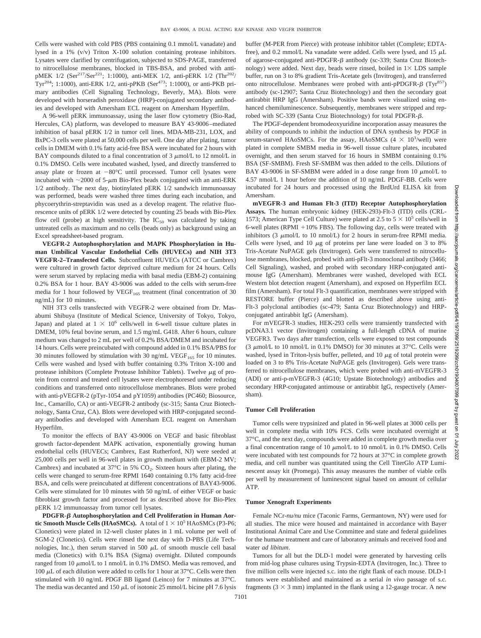Cells were washed with cold PBS (PBS containing 0.1 mmol/L vanadate) and lysed in a 1% (v/v) Triton X-100 solution containing protease inhibitors. Lysates were clarified by centrifugation, subjected to SDS-PAGE, transferred to nitrocellulose membranes, blocked in TBS-BSA, and probed with antipMEK 1/2 (Ser<sup>217</sup>/Ser<sup>221</sup>; 1:1000), anti-MEK 1/2, anti-pERK 1/2 (Thr<sup>202</sup>/ Tyr<sup>204</sup>; 1:1000), anti-ERK 1/2, anti-pPKB (Ser<sup>473</sup>; 1:1000), or anti-PKB primary antibodies (Cell Signaling Technology, Beverly, MA). Blots were developed with horseradish peroxidase (HRP)-conjugated secondary antibodies and developed with Amersham ECL reagent on Amersham Hyperfilm.

A 96-well pERK immunoassay, using the laser flow cytometry (Bio-Rad, Hercules, CA) platform, was developed to measure BAY 43-9006–mediated inhibition of basal pERK 1/2 in tumor cell lines. MDA-MB-231, LOX, and BxPC-3 cells were plated at 50,000 cells per well. One day after plating, tumor cells in DMEM with 0.1% fatty acid-free BSA were incubated for 2 hours with BAY compounds diluted to a final concentration of  $3 \mu$ mol/L to 12 nmol/L in 0.1% DMSO. Cells were incubated washed, lysed, and directly transferred to assay plate or frozen at  $-80^{\circ}\text{C}$  until processed. Tumor cell lysates were incubated with  $\sim$ 2000 of 5- $\mu$ m Bio-Plex beads conjugated with an anti-ERK 1/2 antibody. The next day, biotinylated pERK 1/2 sandwich immunoassay was performed, beads were washed three times during each incubation, and phycoerythrin-streptavidin was used as a develop reagent. The relative fluorescence units of pERK 1/2 were detected by counting 25 beads with Bio-Plex flow cell (probe) at high sensitivity. The  $IC_{50}$  was calculated by taking untreated cells as maximum and no cells (beads only) as background using an Excel spreadsheet-based program.

**VEGFR-2 Autophosphorylation and MAPK Phosphorylation in Human Umbilical Vascular Endothelial Cells (HUVECs) and NIH 3T3 VEGFR-2–Transfected Cells.** Subconfluent HUVECs (ATCC or Cambrex) were cultured in growth factor deprived culture medium for 24 hours. Cells were serum starved by replacing media with basal media (EBM-2) containing 0.2% BSA for 1 hour. BAY 43-9006 was added to the cells with serum-free media for 1 hour followed by  $VEGF<sub>165</sub>$  treatment (final concentration of 30 ng/mL) for 10 minutes.

NIH 3T3 cells transfected with VEGFR-2 were obtained from Dr. Masabumi Shibuya (Institute of Medical Science, University of Tokyo, Tokyo, Japan) and plated at  $1 \times 10^6$  cells/well in 6-well tissue culture plates in DMEM, 10% fetal bovine serum, and 1.5 mg/mL G418. After 6 hours, culture medium was changed to 2 mL per well of 0.2% BSA/DMEM and incubated for 14 hours. Cells were preincubated with compound added in 0.1% BSA/PBS for 30 minutes followed by stimulation with 30 ng/mL VEGF $_{165}$  for 10 minutes. Cells were washed and lysed with buffer containing 0.3% Triton X-100 and protease inhibitors (Complete Protease Inhibitor Tablets). Twelve  $\mu$ g of protein from control and treated cell lysates were electrophoresed under reducing conditions and transferred onto nitrocellulose membranes. Blots were probed with anti-pVEGFR-2 (pTyr-1054 and pY1059) antibodies (PC460; Biosource, Inc., Camarillo, CA) or anti-VEGFR-2 antibody (sc-315; Santa Cruz Biotechnology, Santa Cruz, CA). Blots were developed with HRP-conjugated secondary antibodies and developed with Amersham ECL reagent on Amersham Hyperfilm.

To monitor the effects of BAY 43-9006 on VEGF and basic fibroblast growth factor-dependent MAPK activation, exponentially growing human endothelial cells (HUVECs; Cambrex, East Rutherford, NJ) were seeded at 25,000 cells per well in 96-well plates in growth medium with (EBM-2 MV; Cambrex) and incubated at  $37^{\circ}$ C in 5% CO<sub>2</sub>. Sixteen hours after plating, the cells were changed to serum-free RPMI 1640 containing 0.1% fatty acid-free BSA, and cells were preincubated at different concentrations of BAY43-9006. Cells were stimulated for 10 minutes with 50 ng/mL of either VEGF or basic fibroblast growth factor and processed for as described above for Bio-Plex pERK 1/2 immunoassay from tumor cell lysates.

PDGFR- $\beta$  Autophosphorylation and Cell Proliferation in Human Aor**tic Smooth Muscle Cells (HAoSMCs).** A total of  $1 \times 10^5$  HAoSMCs (P3-P6; Clonetics) were plated in 12-well cluster plates in 1 mL volume per well of SGM-2 (Clonetics). Cells were rinsed the next day with D-PBS (Life Technologies, Inc.), then serum starved in 500  $\mu$ L of smooth muscle cell basal media (Clonetics) with 0.1% BSA (Sigma) overnight. Diluted compounds ranged from 10  $\mu$ mol/L to 1 nmol/L in 0.1% DMSO. Media was removed, and 100  $\mu$ L of each dilution were added to cells for 1 hour at 37°C. Cells were then stimulated with 10 ng/mL PDGF BB ligand (Leinco) for 7 minutes at 37°C. The media was decanted and 150  $\mu$ L of isotonic 25 mmol/L bicine pH 7.6 lysis

buffer (M-PER from Pierce) with protease inhibitor tablet (Complete; EDTAfree), and 0.2 mmol/L Na vanadate were added. Cells were lysed, and 15  $\mu$ L of agarose-conjugated anti-PDGFR- $\beta$  antibody (sc-339; Santa Cruz Biotechnology) were added. Next day, beads were rinsed, boiled in  $1 \times$  LDS sample buffer, run on 3 to 8% gradient Tris-Acetate gels (Invitrogen), and transferred onto nitrocellulose. Membranes were probed with anti-pPDGFR- $\beta$  (Tyr<sup>857</sup>) antibody (sc-12907; Santa Cruz Biotechnology) and then the secondary goat antirabbit HRP IgG (Amersham). Positive bands were visualized using enhanced chemiluminescence. Subsequently, membranes were stripped and reprobed with SC-339 (Santa Cruz Biotechnology) for total PDGFR- $\beta$ .

The PDGF-dependent bromodeoxyuridine incorporation assay measures the ability of compounds to inhibit the induction of DNA synthesis by PDGF in serum-starved HAoSMCs. For the assay, HAoSMCs  $(4 \times 10^3/\text{well})$  were plated in complete SMBM media in 96-well tissue culture plates, incubated overnight, and then serum starved for 16 hours in SMBM containing 0.1% BSA (SF-SMBM). Fresh SF-SMBM was then added to the cells. Dilutions of BAY 43-9006 in SF-SMBM were added in a dose range from  $10 \mu \text{mol/L}$  to 4.57 nmol/L 1 hour before the addition of 10 ng/mL PDGF-BB. Cells were incubated for 24 hours and processed using the BrdUrd ELISA kit from Amersham.

**mVEGFR-3 and Human Flt-3 (ITD) Receptor Autophosphorylation Assays.** The human embryonic kidney (HEK-293)-Flt-3 (ITD) cells (CRL-1573; American Type Cell Culture) were plated at 2.5 to  $5 \times 10^5$  cells/well in 6-well plates (RPMI  $+10\%$  FBS). The following day, cells were treated with inhibitors (3  $\mu$ mol/L to 10 nmol/L) for 2 hours in serum-free RPMI media. Cells were lysed, and 10  $\mu$ g of proteins per lane were loaded on 3 to 8% Tris-Acetate NuPAGE gels (Invitrogen). Gels were transferred to nitrocellulose membranes, blocked, probed with anti-pFlt-3 monoclonal antibody (3466; Cell Signaling), washed, and probed with secondary HRP-conjugated antimouse IgG (Amersham). Membranes were washed, developed with ECL Western blot detection reagent (Amersham), and exposed on Hyperfilm ECL film (Amersham). For total Flt-3 quantification, membranes were stripped with RESTORE buffer (Pierce) and blotted as described above using anti-Flt-3 polyclonal antibodies (sc-479; Santa Cruz Biotechnology) and HRPconjugated antirabbit IgG (Amersham).

For mVEGFR-3 studies, HEK-293 cells were transiently transfected with pcDNA3.1 vector (Invitrogen) containing a full-length cDNA of murine VEGFR3. Two days after transfection, cells were exposed to test compounds (3  $\mu$ mol/L to 10 nmol/L in 0.1% DMSO) for 30 minutes at 37°C. Cells were washed, lysed in Triton-lysis buffer, pelleted, and  $10 \mu g$  of total protein were loaded on 3 to 8% Tris-Acetate NuPAGE gels (Invitrogen). Gels were transferred to nitrocellulose membranes, which were probed with anti-mVEGFR-3 (ADI) or anti-p-mVEGFR-3 (4G10; Upstate Biotechnology) antibodies and secondary HRP-conjugated antimouse or antirabbit IgG, respectively (Amersham).

#### **Tumor Cell Proliferation**

Tumor cells were trypsinized and plated in 96-well plates at 3000 cells per well in complete media with 10% FCS. Cells were incubated overnight at 37°C, and the next day, compounds were added in complete growth media over a final concentration range of 10  $\mu$ mol/L to 10 nmol/L in 0.1% DMSO. Cells were incubated with test compounds for 72 hours at 37°C in complete growth media, and cell number was quantitated using the Cell TiterGlo ATP Luminescent assay kit (Promega). This assay measures the number of viable cells per well by measurement of luminescent signal based on amount of cellular ATP.

#### **Tumor Xenograft Experiments**

Female NCr-*nu/nu* mice (Taconic Farms, Germantown, NY) were used for all studies. The mice were housed and maintained in accordance with Bayer Institutional Animal Care and Use Committee and state and federal guidelines for the humane treatment and care of laboratory animals and received food and water *ad libitum*.

Tumors for all but the DLD-1 model were generated by harvesting cells from mid-log phase cultures using Trypsin-EDTA (Invitrogen, Inc.). Three to five million cells were injected s.c. into the right flank of each mouse. DLD-1 tumors were established and maintained as a serial *in vivo* passage of s.c. fragments  $(3 \times 3$  mm) implanted in the flank using a 12-gauge trocar. A new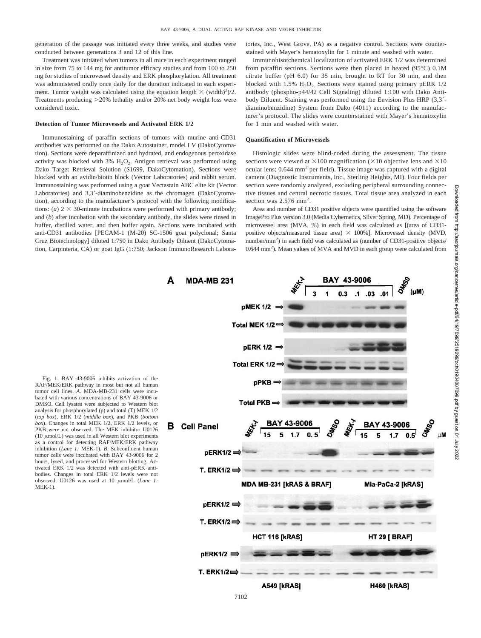generation of the passage was initiated every three weeks, and studies were conducted between generations 3 and 12 of this line.

Treatment was initiated when tumors in all mice in each experiment ranged in size from 75 to 144 mg for antitumor efficacy studies and from 100 to 250 mg for studies of microvessel density and ERK phosphorylation. All treatment was administered orally once daily for the duration indicated in each experiment. Tumor weight was calculated using the equation length  $\times$  (width)<sup>2</sup>)/2. Treatments producing 20% lethality and/or 20% net body weight loss were considered toxic.

#### **Detection of Tumor Microvessels and Activated ERK 1/2**

Immunostaining of paraffin sections of tumors with murine anti-CD31 antibodies was performed on the Dako Autostainer, model LV (DakoCytomation). Sections were deparaffinized and hydrated, and endogenous peroxidase activity was blocked with  $3\%$  H<sub>2</sub>O<sub>2</sub>. Antigen retrieval was performed using Dako Target Retrieval Solution (S1699, DakoCytomation). Sections were blocked with an avidin/biotin block (Vector Laboratories) and rabbit serum. Immunostaining was performed using a goat Vectastain ABC elite kit (Vector Laboratories) and 3,3-diaminobenzidine as the chromagen (DakoCytomation), according to the manufacturer's protocol with the following modifications: (*a*)  $2 \times 30$ -minute incubations were performed with primary antibody; and (*b*) after incubation with the secondary antibody, the slides were rinsed in buffer, distilled water, and then buffer again. Sections were incubated with anti-CD31 antibodies [PECAM-1 (M-20) SC-1506 goat polyclonal; Santa Cruz Biotechnology] diluted 1:750 in Dako Antibody Diluent (DakoCytomation, Carpinteria, CA) or goat IgG (1:750; Jackson ImmunoResearch Labora-

Δ

tories, Inc., West Grove, PA) as a negative control. Sections were counterstained with Mayer's hematoxylin for 1 minute and washed with water.

Immunohisotchemical localization of activated ERK 1/2 was determined from paraffin sections. Sections were then placed in heated (95°C) 0.1M citrate buffer (pH 6.0) for 35 min, brought to RT for 30 min, and then blocked with 1.5%  $H<sub>2</sub>O<sub>2</sub>$ . Sections were stained using primary pERK 1/2. antibody (phospho-p44/42 Cell Signaling) diluted 1:100 with Dako Antibody Diluent. Staining was performed using the Envision Plus HRP (3,3 diaminobenzidine) System from Dako (4011) according to the manufacturer's protocol. The slides were counterstained with Mayer's hematoxylin for 1 min and washed with water.

#### **Quantification of Microvessels**

Histologic slides were blind-coded during the assessment. The tissue sections were viewed at  $\times 100$  magnification ( $\times 10$  objective lens and  $\times 10$ ocular lens; 0.644 mm<sup>2</sup> per field). Tissue image was captured with a digital camera (Diagnostic Instruments, Inc., Sterling Heights, MI). Four fields per section were randomly analyzed, excluding peripheral surrounding connective tissues and central necrotic tissues. Total tissue area analyzed in each section was 2.576 mm<sup>2</sup>.

Area and number of CD31 positive objects were quantified using the software ImagePro Plus version 3.0 (Media Cybernetics, Silver Spring, MD). Percentage of microvessel area (MVA, %) in each field was calculated as [(area of CD31 positive objects/measured tissue area)  $\times$  100%]. Microvessel density (MVD, number/mm<sup>2</sup>) in each field was calculated as (number of CD31-positive objects/ 0.644 mm<sup>2</sup>). Mean values of MVA and MVD in each group were calculated from

Fig. 1. BAY 43-9006 inhibits activation of the RAF/MEK/ERK pathway in most but not all human tumor cell lines. *A.* MDA-MB-231 cells were incubated with various concentrations of BAY 43-9006 or DMSO. Cell lysates were subjected to Western blot analysis for phosphorylated (p) and total (T) MEK 1/2 (*top box*), ERK 1/2 (*middle box*), and PKB (*bottom box*). Changes in total MEK 1/2, ERK 1/2 levels, or PKB were not observed. The MEK inhibitor U0126  $(10 \mu \text{mol/L})$  was used in all Western blot experiments as a control for detecting RAF/MEK/ERK pathway inhibition (*Lane 1:* MEK-1). *B*. Subconfluent human tumor cells were incubated with BAY 43-9006 for 2 hours, lysed, and processed for Western blotting. Activated ERK 1/2 was detected with anti-pERK antibodies. Changes in total ERK 1/2 levels were not observed. U0126 was used at 10  $\mu$ mol/L (*Lane 1:* MEK-1).

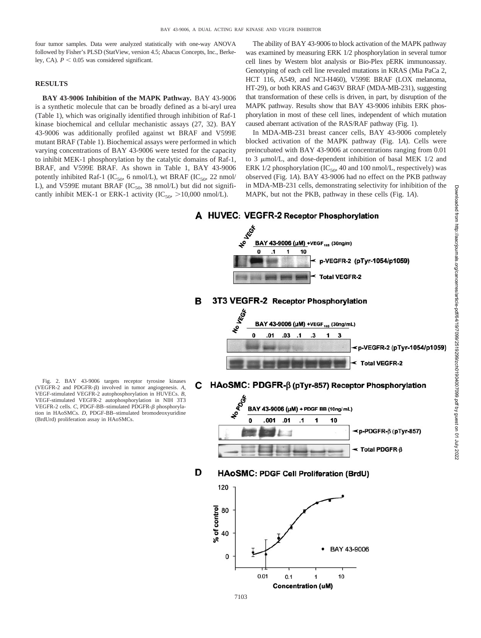four tumor samples. Data were analyzed statistically with one-way ANOVA followed by Fisher's PLSD (StatView, version 4.5; Abacus Concepts, Inc., Berkeley, CA).  $P < 0.05$  was considered significant.

# **RESULTS**

**BAY 43-9006 Inhibition of the MAPK Pathway.** BAY 43-9006 is a synthetic molecule that can be broadly defined as a bi-aryl urea (Table 1), which was originally identified through inhibition of Raf-1 kinase biochemical and cellular mechanistic assays (27, 32). BAY 43-9006 was additionally profiled against wt BRAF and V599E mutant BRAF (Table 1). Biochemical assays were performed in which varying concentrations of BAY 43-9006 were tested for the capacity to inhibit MEK-1 phosphorylation by the catalytic domains of Raf-1, BRAF, and V599E BRAF. As shown in Table 1, BAY 43-9006 potently inhibited Raf-1 (IC<sub>50</sub>, 6 nmol/L), wt BRAF (IC<sub>50</sub>, 22 nmol/ L), and V599E mutant BRAF ( $IC_{50}$ , 38 nmol/L) but did not significantly inhibit MEK-1 or ERK-1 activity (IC<sub>50</sub>,  $>$ 10,000 nmol/L).

The ability of BAY 43-9006 to block activation of the MAPK pathway was examined by measuring ERK 1/2 phosphorylation in several tumor cell lines by Western blot analysis or Bio-Plex pERK immunoassay. Genotyping of each cell line revealed mutations in KRAS (Mia PaCa 2, HCT 116, A549, and NCI-H460), V599E BRAF (LOX melanoma, HT-29), or both KRAS and G463V BRAF (MDA-MB-231), suggesting that transformation of these cells is driven, in part, by disruption of the MAPK pathway. Results show that BAY 43-9006 inhibits ERK phosphorylation in most of these cell lines, independent of which mutation caused aberrant activation of the RAS/RAF pathway (Fig. 1).

In MDA-MB-231 breast cancer cells, BAY 43-9006 completely blocked activation of the MAPK pathway (Fig. 1*A*). Cells were preincubated with BAY 43-9006 at concentrations ranging from 0.01 to 3  $\mu$ mol/L, and dose-dependent inhibition of basal MEK 1/2 and ERK 1/2 phosphorylation (IC<sub>50</sub>, 40 and 100 nmol/L, respectively) was observed (Fig. 1*A*). BAY 43-9006 had no effect on the PKB pathway in MDA-MB-231 cells, demonstrating selectivity for inhibition of the MAPK, but not the PKB, pathway in these cells (Fig. 1*A*).

**NEGA** BAY 43-9006 (µM) +VEGF<sub>165</sub> (30ng/m)  $\Omega$  $\overline{1}$ p-VEGFR-2 (pTyr-1054/p1059) **Total VEGFR-2** 3T3 VEGFR-2 Receptor Phosphorvlation B BAY 43-9006 (µM) +VEGF<sub>165</sub> (30ng/mL) Ō  $01$ .03  $\cdot$ 1  $\overline{\mathbf{3}}$ 1 3 p-VEGFR-2 (pTyr-1054/p1059) **Total VEGFR-2** HAoSMC: PDGFR-B (pTyr-857) Receptor Phosphorylation С **POOK** BAY 43-9006 (µM) + PDGF BB (10ng/mL) O 001  $01$  $\mathbf{.1}$ 1 10 p-PDGFR-β (pTyr-857) < Total PDGFR-B D HAoSMC: PDGF Cell Proliferation (BrdU) 120 of control 80 40

BAY 43-9006

 $10$ 

A HUVEC: VEGFR-2 Receptor Phosphorylation

Fig. 2. BAY 43-9006 targets receptor tyrosine kinases (VEGFR-2 and PDGFR- $\beta$ ) involved in tumor angiogenesis.  $A$ , VEGF-stimulated VEGFR-2 autophosphorylation in HUVECs. *B*, VEGF-stimulated VEGFR-2 autophosphorylation in NIH 3T3 VEGFR-2 cells. *C*, PDGF-BB-stimulated PDGFR-β phosphorylation in HAoSMCs. *D*, PDGF-BB–stimulated bromodeoxyuridine (BrdUrd) proliferation assay in HAoSMCs.

 $0.01$ 

 $0.1$ 

1

**Concentration (uM)** 

0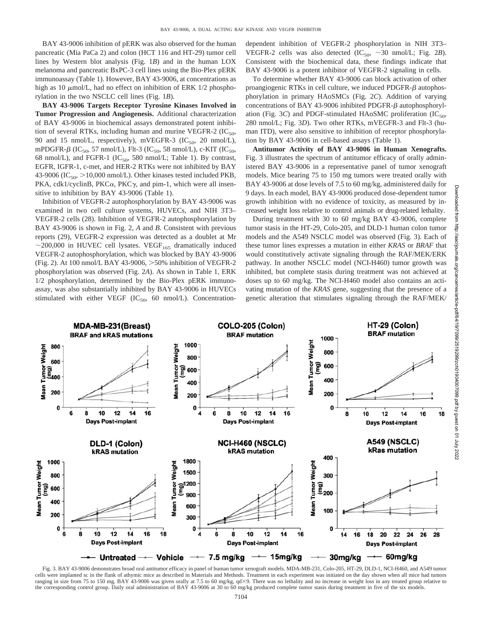BAY 43-9006 inhibition of pERK was also observed for the human pancreatic (Mia PaCa 2) and colon (HCT 116 and HT-29) tumor cell lines by Western blot analysis (Fig. 1*B*) and in the human LOX melanoma and pancreatic BxPC-3 cell lines using the Bio-Plex pERK immunoassay (Table 1). However, BAY 43-9006, at concentrations as high as 10  $\mu$ mol/L, had no effect on inhibition of ERK 1/2 phosphorylation in the two NSCLC cell lines (Fig. 1*B*).

**BAY 43-9006 Targets Receptor Tyrosine Kinases Involved in Tumor Progression and Angiogenesis.** Additional characterization of BAY 43-9006 in biochemical assays demonstrated potent inhibition of several RTKs, including human and murine VEGFR-2 (IC $_{50}$ , 90 and 15 nmol/L, respectively), mVEGFR-3 (IC<sub>50</sub>, 20 nmol/L), mPDGFR- $\beta$  (IC<sub>50</sub>, 57 nmol/L), Flt-3 (IC<sub>50</sub>, 58 nmol/L), c-KIT (IC<sub>50</sub>, 68 nmol/L), and FGFR-1 (IC<sub>50</sub>, 580 nmol/L; Table 1). By contrast, EGFR, IGFR-1, c-met, and HER-2 RTKs were not inhibited by BAY 43-9006 (IC<sub>50</sub>,  $>$ 10,000 nmol/L). Other kinases tested included PKB, PKA, cdk1/cyclinB, PKC $\alpha$ , PKC $\gamma$ , and pim-1, which were all insensitive to inhibition by BAY 43-9006 (Table 1).

Inhibition of VEGFR-2 autophosphorylation by BAY 43-9006 was examined in two cell culture systems, HUVECs, and NIH 3T3– VEGFR-2 cells (28). Inhibition of VEGFR-2 autophosphorylation by BAY 43-9006 is shown in Fig. 2, *A* and *B*. Consistent with previous reports (29), VEGFR-2 expression was detected as a doublet at Mr  $\sim$  200,000 in HUVEC cell lysates. VEGF<sub>165</sub> dramatically induced VEGFR-2 autophosphorylation, which was blocked by BAY 43-9006 (Fig. 2). At 100 nmol/L BAY 43-9006, >50% inhibition of VEGFR-2 phosphorylation was observed (Fig. 2*A*). As shown in Table 1, ERK 1/2 phosphorylation, determined by the Bio-Plex pERK immunoassay, was also substantially inhibited by BAY 43-9006 in HUVECs stimulated with either VEGF (IC<sub>50</sub>, 60 nmol/L). Concentrationdependent inhibition of VEGFR-2 phosphorylation in NIH 3T3– VEGFR-2 cells was also detected  $(IC_{50}, \sim 30 \text{ nmol/L}; \text{Fig. 2B}).$ Consistent with the biochemical data, these findings indicate that BAY 43-9006 is a potent inhibitor of VEGFR-2 signaling in cells.

To determine whether BAY 43-9006 can block activation of other proangiogenic RTKs in cell culture, we induced PDGFR- $\beta$  autophosphorylation in primary HAoSMCs (Fig. 2*C*). Addition of varying concentrations of BAY 43-9006 inhibited PDGFR- $\beta$  autophosphorylation (Fig. 3*C*) and PDGF-stimulated HAoSMC proliferation (IC<sub>50</sub>, 280 nmol/L; Fig. 3*D*). Two other RTKs, mVEGFR-3 and Flt-3 (human ITD), were also sensitive to inhibition of receptor phosphorylation by BAY 43-9006 in cell-based assays (Table 1).

**Antitumor Activity of BAY 43-9006 in Human Xenografts.** Fig. 3 illustrates the spectrum of antitumor efficacy of orally administered BAY 43-9006 in a representative panel of tumor xenograft models. Mice bearing 75 to 150 mg tumors were treated orally with BAY 43-9006 at dose levels of 7.5 to 60 mg/kg, administered daily for 9 days. In each model, BAY 43-9006 produced dose-dependent tumor growth inhibition with no evidence of toxicity, as measured by increased weight loss relative to control animals or drug-related lethality.

During treatment with 30 to 60 mg/kg BAY 43-9006, complete tumor stasis in the HT-29, Colo-205, and DLD-1 human colon tumor models and the A549 NSCLC model was observed (Fig. 3). Each of these tumor lines expresses a mutation in either *KRAS* or *BRAF* that would constitutively activate signaling through the RAF/MEK/ERK pathway. In another NSCLC model (NCI-H460) tumor growth was inhibited, but complete stasis during treatment was not achieved at doses up to 60 mg/kg. The NCI-H460 model also contains an activating mutation of the *KRAS* gene, suggesting that the presence of a genetic alteration that stimulates signaling through the RAF/MEK/



Fig. 3. BAY 43-9006 demonstrates broad oral antitumor efficacy in panel of human tumor xenograft models. MDA-MB-231, Colo-205, HT-29, DLD-1, NCI-H460, and A549 tumor cells were implanted sc in the flank of athymic mice as described in Materials and Methods. Treatment in each experiment was initiated on the day shown when all mice had tumors ranging in size from 75 to 150 mg. BAY 43-9006 was given orally at 7.5 to 60 mg/kg, qd×9. There was no lethality and no increase in weight loss in any treated group relative to the corresponding control group. Daily oral administration of BAY 43-9006 at 30 to 60 mg/kg produced complete tumor stasis during treatment in five of the six models.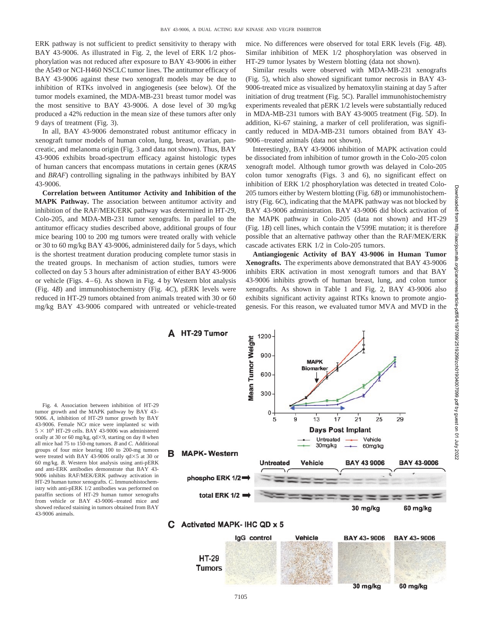ERK pathway is not sufficient to predict sensitivity to therapy with BAY 43-9006. As illustrated in Fig. 2, the level of ERK 1/2 phosphorylation was not reduced after exposure to BAY 43-9006 in either the A549 or NCI-H460 NSCLC tumor lines. The antitumor efficacy of BAY 43-9006 against these two xenograft models may be due to inhibition of RTKs involved in angiogenesis (see below). Of the tumor models examined, the MDA-MB-231 breast tumor model was the most sensitive to BAY 43-9006. A dose level of 30 mg/kg produced a 42% reduction in the mean size of these tumors after only 9 days of treatment (Fig. 3).

In all, BAY 43-9006 demonstrated robust antitumor efficacy in xenograft tumor models of human colon, lung, breast, ovarian, pancreatic, and melanoma origin (Fig. 3 and data not shown). Thus, BAY 43-9006 exhibits broad-spectrum efficacy against histologic types of human cancers that encompass mutations in certain genes (*KRAS* and *BRAF*) controlling signaling in the pathways inhibited by BAY 43-9006.

**Correlation between Antitumor Activity and Inhibition of the MAPK Pathway.** The association between antitumor activity and inhibition of the RAF/MEK/ERK pathway was determined in HT-29, Colo-205, and MDA-MB-231 tumor xenografts. In parallel to the antitumor efficacy studies described above, additional groups of four mice bearing 100 to 200 mg tumors were treated orally with vehicle or 30 to 60 mg/kg BAY 43-9006, administered daily for 5 days, which is the shortest treatment duration producing complete tumor stasis in the treated groups. In mechanism of action studies, tumors were collected on day 5 3 hours after administration of either BAY 43-9006 or vehicle (Figs. 4–6). As shown in Fig. 4 by Western blot analysis (Fig. 4*B*) and immunohistochemistry (Fig. 4*C*), pERK levels were reduced in HT-29 tumors obtained from animals treated with 30 or 60 mg/kg BAY 43-9006 compared with untreated or vehicle-treated mice. No differences were observed for total ERK levels (Fig. 4*B*). Similar inhibition of MEK 1/2 phosphorylation was observed in HT-29 tumor lysates by Western blotting (data not shown).

Similar results were observed with MDA-MB-231 xenografts (Fig. 5), which also showed significant tumor necrosis in BAY 43- 9006-treated mice as visualized by hematoxylin staining at day 5 after initiation of drug treatment (Fig. 5C). Parallel immunohistochemistry experiments revealed that pERK 1/2 levels were substantially reduced in MDA-MB-231 tumors with BAY 43-9005 treatment (Fig. 5*D*). In addition, Ki-67 staining, a marker of cell proliferation, was significantly reduced in MDA-MB-231 tumors obtained from BAY 43- 9006–treated animals (data not shown).

Interestingly, BAY 43-9006 inhibition of MAPK activation could be dissociated from inhibition of tumor growth in the Colo-205 colon xenograft model. Although tumor growth was delayed in Colo-205 colon tumor xenografts (Figs. 3 and 6), no significant effect on inhibition of ERK 1/2 phosphorylation was detected in treated Colo-205 tumors either by Western blotting (Fig. 6*B*) or immunohistochemistry (Fig. 6*C*), indicating that the MAPK pathway was not blocked by BAY 43-9006 administration. BAY 43-9006 did block activation of the MAPK pathway in Colo-205 (data not shown) and HT-29 (Fig. 1*B*) cell lines, which contain the V599E mutation; it is therefore possible that an alternative pathway other than the RAF/MEK/ERK cascade activates ERK 1/2 in Colo-205 tumors.

**Antiangiogenic Activity of BAY 43-9006 in Human Tumor Xenografts.** The experiments above demonstrated that BAY 43-9006 inhibits ERK activation in most xenograft tumors and that BAY 43-9006 inhibits growth of human breast, lung, and colon tumor xenografts. As shown in Table 1 and Fig. 2, BAY 43-9006 also exhibits significant activity against RTKs known to promote angiogenesis. For this reason, we evaluated tumor MVA and MVD in the

Fig. 4. Association between inhibition of HT-29 tumor growth and the MAPK pathway by BAY 43– 9006. *A*, inhibition of HT-29 tumor growth by BAY 43-9006. Female NCr mice were implanted sc with  $5 \times 10^6$  HT-29 cells. BAY 43-9006 was administered orally at 30 or 60 mg/kg,  $qd \times 9$ , starting on day 8 when all mice had 75 to 150-mg tumors. *B* and *C*. Additional groups of four mice bearing 100 to 200-mg tumors were treated with BAY 43-9006 orally  $qd \times 5$  at 30 or 60 mg/kg. *B*. Western blot analysis using anti-pERK and anti-ERK antibodies demonstrate that BAY 43- 9006 inhibits RAF/MEK/ERK pathway activation in HT-29 human tumor xenografts. *C*. Immunohistochemistry with anti-pERK 1/2 antibodies was performed on paraffin sections of HT-29 human tumor xenografts from vehicle or BAY 43-9006–treated mice and showed reduced staining in tumors obtained from BAY 43-9006 animals.



Downloaded from http://aacrjournals.org/cancerres/article-pdf/64/19/7099/2519299/zch01904007099.pdf by guest on 01 July 2022

Downloaded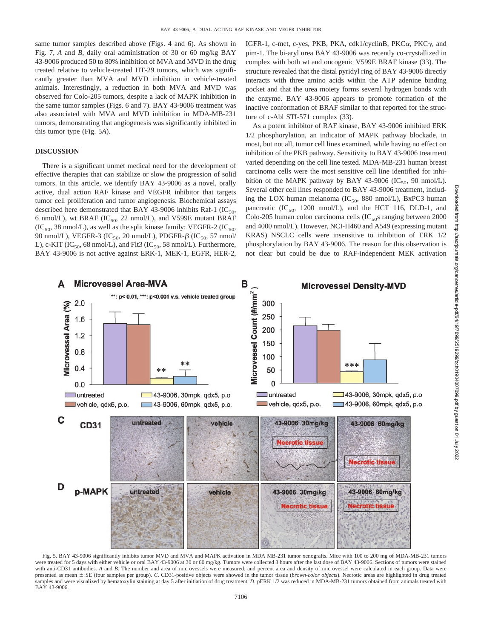same tumor samples described above (Figs. 4 and 6). As shown in Fig. 7, *A* and *B*, daily oral administration of 30 or 60 mg/kg BAY 43-9006 produced 50 to 80% inhibition of MVA and MVD in the drug treated relative to vehicle-treated HT-29 tumors, which was significantly greater than MVA and MVD inhibition in vehicle-treated animals. Interestingly, a reduction in both MVA and MVD was observed for Colo-205 tumors, despite a lack of MAPK inhibition in the same tumor samples (Figs. 6 and 7). BAY 43-9006 treatment was also associated with MVA and MVD inhibition in MDA-MB-231 tumors, demonstrating that angiogenesis was significantly inhibited in this tumor type (Fig. 5*A*).

## **DISCUSSION**

There is a significant unmet medical need for the development of effective therapies that can stabilize or slow the progression of solid tumors. In this article, we identify BAY 43-9006 as a novel, orally active, dual action RAF kinase and VEGFR inhibitor that targets tumor cell proliferation and tumor angiogenesis. Biochemical assays described here demonstrated that BAY 43-9006 inhibits Raf-1 (IC<sub>50</sub>, 6 nmol/L), wt BRAF (IC<sub>50</sub>, 22 nmol/L), and V599E mutant BRAF  $(IC_{50}$ , 38 nmol/L), as well as the split kinase family: VEGFR-2  $(IC_{50}$ 90 nmol/L), VEGFR-3 (IC<sub>50</sub>, 20 nmol/L), PDGFR- $\beta$  (IC<sub>50</sub>, 57 nmol/ L), c-KIT (IC<sub>50</sub>, 68 nmol/L), and Flt3 (IC<sub>50</sub>, 58 nmol/L). Furthermore, BAY 43-9006 is not active against ERK-1, MEK-1, EGFR, HER-2,

IGFR-1, c-met, c-yes, PKB, PKA, cdk1/cyclinB, PKC $\alpha$ , PKC $\gamma$ , and pim-1. The bi-aryl urea BAY 43-9006 was recently co-crystallized in complex with both wt and oncogenic V599E BRAF kinase (33). The structure revealed that the distal pyridyl ring of BAY 43-9006 directly interacts with three amino acids within the ATP adenine binding pocket and that the urea moiety forms several hydrogen bonds with the enzyme. BAY 43-9006 appears to promote formation of the inactive conformation of BRAF similar to that reported for the structure of c-Abl STI-571 complex (33).

As a potent inhibitor of RAF kinase, BAY 43-9006 inhibited ERK 1/2 phosphorylation, an indicator of MAPK pathway blockade, in most, but not all, tumor cell lines examined, while having no effect on inhibition of the PKB pathway. Sensitivity to BAY 43-9006 treatment varied depending on the cell line tested. MDA-MB-231 human breast carcinoma cells were the most sensitive cell line identified for inhibition of the MAPK pathway by BAY 43-9006 (IC<sub>50</sub>, 90 nmol/L). Several other cell lines responded to BAY 43-9006 treatment, including the LOX human melanoma ( $IC_{50}$ , 880 nmol/L), BxPC3 human pancreatic (IC<sub>50</sub>, 1200 nmol/L), and the HCT 116, DLD-1, and Colo-205 human colon carcinoma cells  $(IC_{50}$ s ranging between 2000 and 4000 nmol/L). However, NCI-H460 and A549 (expressing mutant KRAS) NSCLC cells were insensitive to inhibition of ERK 1/2 phosphorylation by BAY 43-9006. The reason for this observation is not clear but could be due to RAF-independent MEK activation



Fig. 5. BAY 43-9006 significantly inhibits tumor MVD and MVA and MAPK activation in MDA MB-231 tumor xenografts. Mice with 100 to 200 mg of MDA-MB-231 tumors were treated for 5 days with either vehicle or oral BAY 43-9006 at 30 or 60 mg/kg. Tumors were collected 3 hours after the last dose of BAY 43-9006. Sections of tumors were stained with anti-CD31 antibodies. A and B. The number and area of microvessels were measured, and percent area and density of microvessel were calculated in each group. Data were presented as mean SE (four samples per group). *C*. CD31-positive objects were showed in the tumor tissue (*brown-color objects*). Necrotic areas are highlighted in drug treated samples and were visualized by hematoxylin staining at day 5 after initiation of drug treatment. *D*. pERK 1/2 was reduced in MDA-MB-231 tumors obtained from animals treated with BAY 43-9006.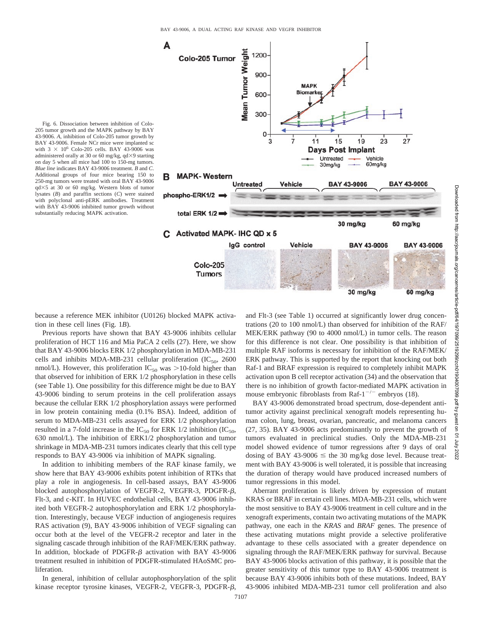

205 tumor growth and the MAPK pathway by BAY 43-9006. *A*, inhibition of Colo-205 tumor growth by BAY 43-9006. Female NCr mice were implanted sc with  $3 \times 10^6$  Colo-205 cells. BAY 43-9006 was administered orally at 30 or 60 mg/kg,  $qd \times 9$  starting on day 5 when all mice had 100 to 150-mg tumors. *Blue line* indicates BAY 43-9006 treatment. *B* and *C*. Additional groups of four mice bearing 150 to 250-mg tumors were treated with oral BAY 43-9006 qd5 at 30 or 60 mg/kg. Western blots of tumor lysates (*B*) and paraffin sections (*C*) were stained with polyclonal anti-pERK antibodies. Treatment with BAY 43-9006 inhibited tumor growth without substantially reducing MAPK activation.

Fig. 6. Dissociation between inhibition of Colo-

because a reference MEK inhibitor (U0126) blocked MAPK activation in these cell lines (Fig. 1*B*).

Previous reports have shown that BAY 43-9006 inhibits cellular proliferation of HCT 116 and Mia PaCA 2 cells (27). Here, we show that BAY 43-9006 blocks ERK 1/2 phosphorylation in MDA-MB-231 cells and inhibits MDA-MB-231 cellular proliferation  $(IC_{50}$ , 2600 nmol/L). However, this proliferation  $IC_{50}$  was  $>$ 10-fold higher than that observed for inhibition of ERK 1/2 phosphorylation in these cells (see Table 1). One possibility for this difference might be due to BAY 43-9006 binding to serum proteins in the cell proliferation assays because the cellular ERK 1/2 phosphorylation assays were performed in low protein containing media (0.1% BSA). Indeed, addition of serum to MDA-MB-231 cells assayed for ERK 1/2 phosphorylation resulted in a 7-fold increase in the IC<sub>50</sub> for ERK 1/2 inhibition (IC<sub>50</sub>, 630 nmol/L). The inhibition of ERK1/2 phosphorylation and tumor shrinkage in MDA-MB-231 tumors indicates clearly that this cell type responds to BAY 43-9006 via inhibition of MAPK signaling.

In addition to inhibiting members of the RAF kinase family, we show here that BAY 43-9006 exhibits potent inhibition of RTKs that play a role in angiogenesis. In cell-based assays, BAY 43-9006 blocked autophosphorylation of VEGFR-2, VEGFR-3, PDGFR- $\beta$ , Flt-3, and c-KIT. In HUVEC endothelial cells, BAY 43-9006 inhibited both VEGFR-2 autophosphorylation and ERK 1/2 phosphorylation. Interestingly, because VEGF induction of angiogenesis requires RAS activation (9), BAY 43-9006 inhibition of VEGF signaling can occur both at the level of the VEGFR-2 receptor and later in the signaling cascade through inhibition of the RAF/MEK/ERK pathway. In addition, blockade of PDGFR- $\beta$  activation with BAY 43-9006 treatment resulted in inhibition of PDGFR-stimulated HAoSMC proliferation.

In general, inhibition of cellular autophosphorylation of the split kinase receptor tyrosine kinases, VEGFR-2, VEGFR-3, PDGFR- $\beta$ ,

and Flt-3 (see Table 1) occurred at significantly lower drug concentrations (20 to 100 nmol/L) than observed for inhibition of the RAF/ MEK/ERK pathway (90 to 4000 nmol/L) in tumor cells. The reason for this difference is not clear. One possibility is that inhibition of multiple RAF isoforms is necessary for inhibition of the RAF/MEK/ ERK pathway. This is supported by the report that knocking out both Raf-1 and BRAF expression is required to completely inhibit MAPK activation upon B cell receptor activation (34) and the observation that there is no inhibition of growth factor-mediated MAPK activation in mouse embryonic fibroblasts from Raf- $1^{-/-}$  embryos (18).

BAY 43-9006 demonstrated broad spectrum, dose-dependent antitumor activity against preclinical xenograft models representing human colon, lung, breast, ovarian, pancreatic, and melanoma cancers (27, 35). BAY 43-9006 acts predominantly to prevent the growth of tumors evaluated in preclinical studies. Only the MDA-MB-231 model showed evidence of tumor regressions after 9 days of oral dosing of BAY 43-9006  $\leq$  the 30 mg/kg dose level. Because treatment with BAY 43-9006 is well tolerated, it is possible that increasing the duration of therapy would have produced increased numbers of tumor regressions in this model.

Aberrant proliferation is likely driven by expression of mutant KRAS or BRAF in certain cell lines. MDA-MB-231 cells, which were the most sensitive to BAY 43-9006 treatment in cell culture and in the xenograft experiments, contain two activating mutations of the MAPK pathway, one each in the *KRAS* and *BRAF* genes. The presence of these activating mutations might provide a selective proliferative advantage to these cells associated with a greater dependence on signaling through the RAF/MEK/ERK pathway for survival. Because BAY 43-9006 blocks activation of this pathway, it is possible that the greater sensitivity of this tumor type to BAY 43-9006 treatment is because BAY 43-9006 inhibits both of these mutations. Indeed, BAY 43-9006 inhibited MDA-MB-231 tumor cell proliferation and also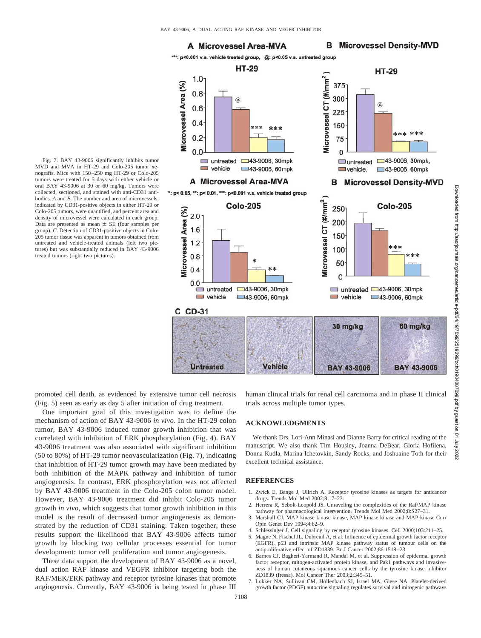$1.0 -$ 

 $0.8$ 

 $0.6$ 

 $0.4$ 

 $0.2$ 

 $0.<sub>C</sub>$ 

 $\Box$  untreated

A Microvessel Area-MVA

\*: p< 0.05, \*\*: p< 0.01, \*\*\*: p<0.001 v.s. vehicle treated group

 $\Box$  vehicle

Microvessel Area (%)

## A Microvessel Area-MVA

# **B** Microvessel Density-MVD

\*\*\*: p<0.001 v.s. vehicle treated group, @: p<0.05 v.s. untreated group **HT-29** 

sk sk sk

□43-9006, 30mpk

43-9006, 60mpk



Fig. 7. BAY 43-9006 significantly inhibits tumor MVD and MVA in HT-29 and Colo-205 tumor xenografts. Mice with 150–250 mg HT-29 or Colo-205 tumors were treated for 5 days with either vehicle or oral BAY 43-9006 at 30 or 60 mg/kg. Tumors were collected, sectioned, and stained with anti-CD31 antibodies. *A* and *B*. The number and area of microvessels, indicated by CD31-positive objects in either HT-29 or Colo-205 tumors, were quantified, and percent area and density of microvessel were calculated in each group. Data are presented as mean  $\pm$  SE (four samples per group). *C*. Detection of CD31-positive objects in Colo-205 tumor tissue was apparent in tumors obtained from untreated and vehicle-treated animals (left two pictures) but was substantially reduced in BAY 43-9006 treated tumors (right two pictures).



promoted cell death, as evidenced by extensive tumor cell necrosis (Fig. 5) seen as early as day 5 after initiation of drug treatment.

One important goal of this investigation was to define the mechanism of action of BAY 43-9006 *in vivo*. In the HT-29 colon tumor, BAY 43-9006 induced tumor growth inhibition that was correlated with inhibition of ERK phosphorylation (Fig. 4). BAY 43-9006 treatment was also associated with significant inhibition (50 to 80%) of HT-29 tumor neovascularization (Fig. 7), indicating that inhibition of HT-29 tumor growth may have been mediated by both inhibition of the MAPK pathway and inhibition of tumor angiogenesis. In contrast, ERK phosphorylation was not affected by BAY 43-9006 treatment in the Colo-205 colon tumor model. However, BAY 43-9006 treatment did inhibit Colo-205 tumor growth *in vivo*, which suggests that tumor growth inhibition in this model is the result of decreased tumor angiogenesis as demonstrated by the reduction of CD31 staining. Taken together, these results support the likelihood that BAY 43-9006 affects tumor growth by blocking two cellular processes essential for tumor development: tumor cell proliferation and tumor angiogenesis.

These data support the development of BAY 43-9006 as a novel, dual action RAF kinase and VEGFR inhibitor targeting both the RAF/MEK/ERK pathway and receptor tyrosine kinases that promote angiogenesis. Currently, BAY 43-9006 is being tested in phase III

**BAY 43-9006** human clinical trials for renal cell carcinoma and in phase II clinical

## **ACKNOWLEDGMENTS**

trials across multiple tumor types.

We thank Drs. Lori-Ann Minasi and Dianne Barry for critical reading of the manuscript. We also thank Tim Housley, Joanna DeBear, Gloria Hofilena, Donna Kudla, Marina Ichetovkin, Sandy Rocks, and Joshuaine Toth for their excellent technical assistance.

#### **REFERENCES**

7108

- 1. Zwick E, Bange J, Ullrich A. Receptor tyrosine kinases as targets for anticancer drugs. Trends Mol Med 2002;8:17–23.
- 2. Herrera R, Sebolt-Leopold JS. Unraveling the complexities of the Raf/MAP kinase pathway for pharmacological intervention. Trends Mol Med 2002;8:S27–31.
- 3. Marshall CJ. MAP kinase kinase kinase, MAP kinase kinase and MAP kinase Curr Opin Genet Dev 1994;4:82–9.
- 4. Schlessinger J. Cell signaling by receptor tyrosine kinases. Cell 2000;103:211–25.
- 5. Magne N, Fischel JL, Dubreuil A, et al. Influence of epidermal growth factor receptor (EGFR), p53 and intrinsic MAP kinase pathway status of tumour cells on the antiproliferative effect of ZD1839. Br J Cancer 2002;86:1518–23.
- 6. Barnes CJ, Bagheri-Yarmand R, Mandal M, et al. Suppression of epidermal growth factor receptor, mitogen-activated protein kinase, and Pak1 pathways and invasiveness of human cutaneous squamous cancer cells by the tyrosine kinase inhibitor ZD1839 (Iressa). Mol Cancer Ther 2003;2:345–51.
- 7. Lokker NA, Sullivan CM, Hollenbach SJ, Israel MA, Giese NA. Platelet-derived growth factor (PDGF) autocrine signaling regulates survival and mitogenic pathways